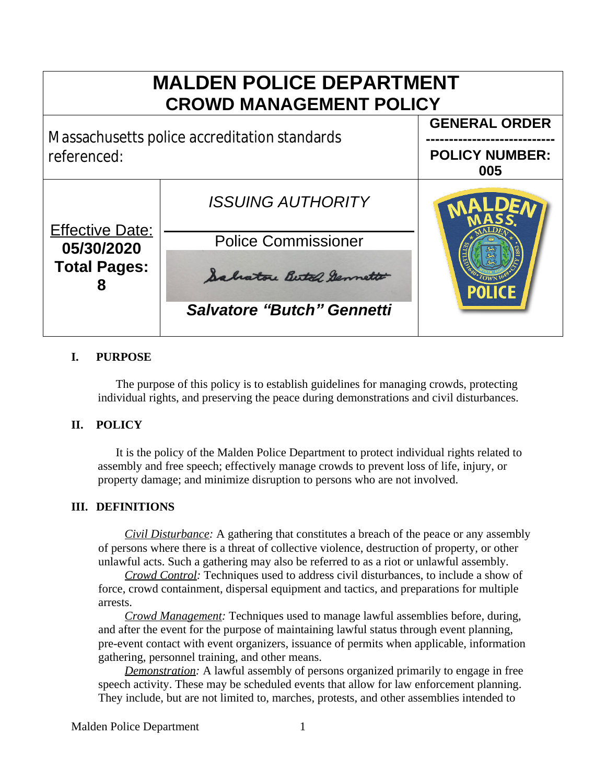

## **I. PURPOSE**

The purpose of this policy is to establish guidelines for managing crowds, protecting individual rights, and preserving the peace during demonstrations and civil disturbances.

## **II. POLICY**

It is the policy of the Malden Police Department to protect individual rights related to assembly and free speech; effectively manage crowds to prevent loss of life, injury, or property damage; and minimize disruption to persons who are not involved.

## **III. DEFINITIONS**

*Civil Disturbance:* A gathering that constitutes a breach of the peace or any assembly of persons where there is a threat of collective violence, destruction of property, or other unlawful acts. Such a gathering may also be referred to as a riot or unlawful assembly.

*Crowd Control:* Techniques used to address civil disturbances, to include a show of force, crowd containment, dispersal equipment and tactics, and preparations for multiple arrests.

*Crowd Management:* Techniques used to manage lawful assemblies before, during, and after the event for the purpose of maintaining lawful status through event planning, pre-event contact with event organizers, issuance of permits when applicable, information gathering, personnel training, and other means.

*Demonstration:* A lawful assembly of persons organized primarily to engage in free speech activity. These may be scheduled events that allow for law enforcement planning. They include, but are not limited to, marches, protests, and other assemblies intended to

Malden Police Department 1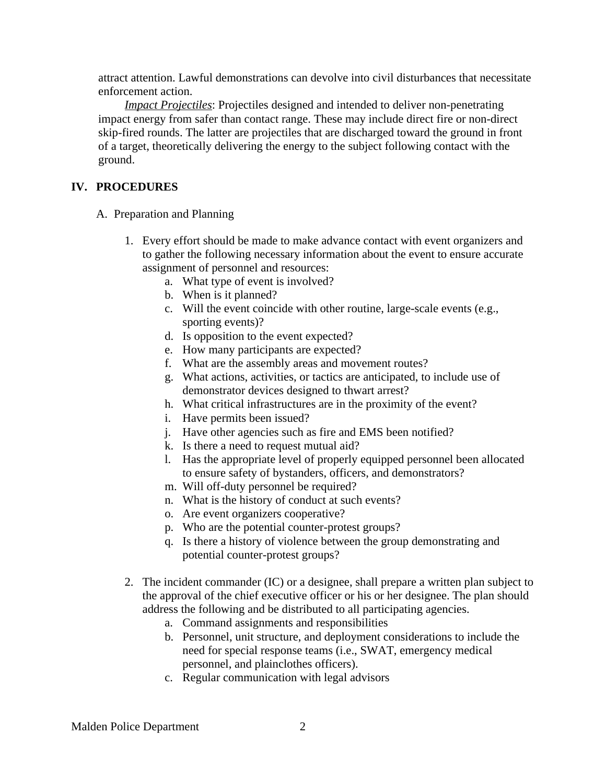attract attention. Lawful demonstrations can devolve into civil disturbances that necessitate enforcement action.

*Impact Projectiles*: Projectiles designed and intended to deliver non-penetrating impact energy from safer than contact range. These may include direct fire or non-direct skip-fired rounds. The latter are projectiles that are discharged toward the ground in front of a target, theoretically delivering the energy to the subject following contact with the ground.

## **IV. PROCEDURES**

- A. Preparation and Planning
	- 1. Every effort should be made to make advance contact with event organizers and to gather the following necessary information about the event to ensure accurate assignment of personnel and resources:
		- a. What type of event is involved?
		- b. When is it planned?
		- c. Will the event coincide with other routine, large-scale events (e.g., sporting events)?
		- d. Is opposition to the event expected?
		- e. How many participants are expected?
		- f. What are the assembly areas and movement routes?
		- g. What actions, activities, or tactics are anticipated, to include use of demonstrator devices designed to thwart arrest?
		- h. What critical infrastructures are in the proximity of the event?
		- i. Have permits been issued?
		- j. Have other agencies such as fire and EMS been notified?
		- k. Is there a need to request mutual aid?
		- l. Has the appropriate level of properly equipped personnel been allocated to ensure safety of bystanders, officers, and demonstrators?
		- m. Will off-duty personnel be required?
		- n. What is the history of conduct at such events?
		- o. Are event organizers cooperative?
		- p. Who are the potential counter-protest groups?
		- q. Is there a history of violence between the group demonstrating and potential counter-protest groups?
	- 2. The incident commander (IC) or a designee, shall prepare a written plan subject to the approval of the chief executive officer or his or her designee. The plan should address the following and be distributed to all participating agencies.
		- a. Command assignments and responsibilities
		- b. Personnel, unit structure, and deployment considerations to include the need for special response teams (i.e., SWAT, emergency medical personnel, and plainclothes officers).
		- c. Regular communication with legal advisors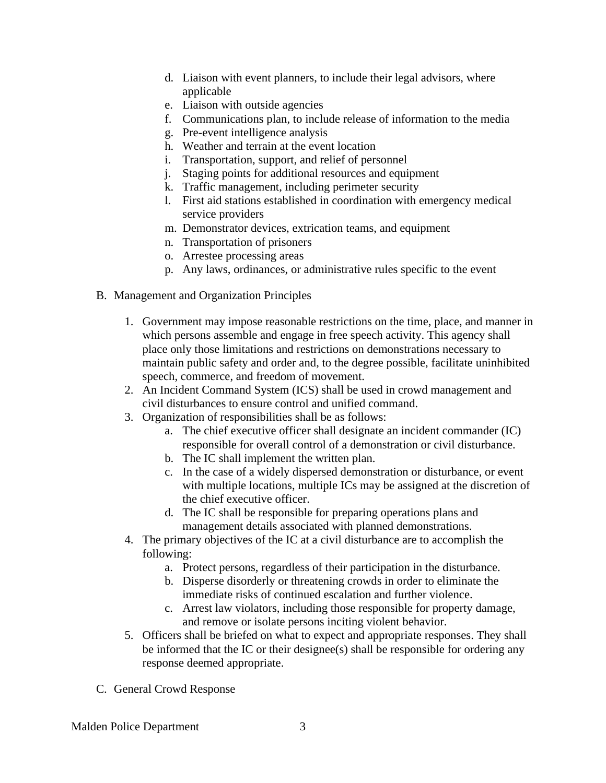- d. Liaison with event planners, to include their legal advisors, where applicable
- e. Liaison with outside agencies
- f. Communications plan, to include release of information to the media
- g. Pre-event intelligence analysis
- h. Weather and terrain at the event location
- i. Transportation, support, and relief of personnel
- j. Staging points for additional resources and equipment
- k. Traffic management, including perimeter security
- l. First aid stations established in coordination with emergency medical service providers
- m. Demonstrator devices, extrication teams, and equipment
- n. Transportation of prisoners
- o. Arrestee processing areas
- p. Any laws, ordinances, or administrative rules specific to the event
- B. Management and Organization Principles
	- 1. Government may impose reasonable restrictions on the time, place, and manner in which persons assemble and engage in free speech activity. This agency shall place only those limitations and restrictions on demonstrations necessary to maintain public safety and order and, to the degree possible, facilitate uninhibited speech, commerce, and freedom of movement.
	- 2. An Incident Command System (ICS) shall be used in crowd management and civil disturbances to ensure control and unified command.
	- 3. Organization of responsibilities shall be as follows:
		- a. The chief executive officer shall designate an incident commander (IC) responsible for overall control of a demonstration or civil disturbance.
		- b. The IC shall implement the written plan.
		- c. In the case of a widely dispersed demonstration or disturbance, or event with multiple locations, multiple ICs may be assigned at the discretion of the chief executive officer.
		- d. The IC shall be responsible for preparing operations plans and management details associated with planned demonstrations.
	- 4. The primary objectives of the IC at a civil disturbance are to accomplish the following:
		- a. Protect persons, regardless of their participation in the disturbance.
		- b. Disperse disorderly or threatening crowds in order to eliminate the immediate risks of continued escalation and further violence.
		- c. Arrest law violators, including those responsible for property damage, and remove or isolate persons inciting violent behavior.
	- 5. Officers shall be briefed on what to expect and appropriate responses. They shall be informed that the IC or their designee(s) shall be responsible for ordering any response deemed appropriate.
- C. General Crowd Response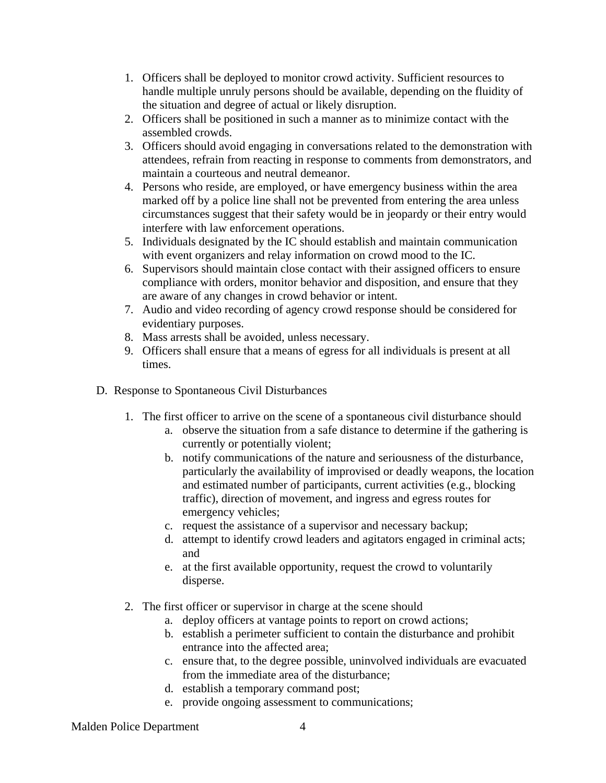- 1. Officers shall be deployed to monitor crowd activity. Sufficient resources to handle multiple unruly persons should be available, depending on the fluidity of the situation and degree of actual or likely disruption.
- 2. Officers shall be positioned in such a manner as to minimize contact with the assembled crowds.
- 3. Officers should avoid engaging in conversations related to the demonstration with attendees, refrain from reacting in response to comments from demonstrators, and maintain a courteous and neutral demeanor.
- 4. Persons who reside, are employed, or have emergency business within the area marked off by a police line shall not be prevented from entering the area unless circumstances suggest that their safety would be in jeopardy or their entry would interfere with law enforcement operations.
- 5. Individuals designated by the IC should establish and maintain communication with event organizers and relay information on crowd mood to the IC.
- 6. Supervisors should maintain close contact with their assigned officers to ensure compliance with orders, monitor behavior and disposition, and ensure that they are aware of any changes in crowd behavior or intent.
- 7. Audio and video recording of agency crowd response should be considered for evidentiary purposes.
- 8. Mass arrests shall be avoided, unless necessary.
- 9. Officers shall ensure that a means of egress for all individuals is present at all times.
- D. Response to Spontaneous Civil Disturbances
	- 1. The first officer to arrive on the scene of a spontaneous civil disturbance should
		- a. observe the situation from a safe distance to determine if the gathering is currently or potentially violent;
		- b. notify communications of the nature and seriousness of the disturbance, particularly the availability of improvised or deadly weapons, the location and estimated number of participants, current activities (e.g., blocking traffic), direction of movement, and ingress and egress routes for emergency vehicles;
		- c. request the assistance of a supervisor and necessary backup;
		- d. attempt to identify crowd leaders and agitators engaged in criminal acts; and
		- e. at the first available opportunity, request the crowd to voluntarily disperse.
	- 2. The first officer or supervisor in charge at the scene should
		- a. deploy officers at vantage points to report on crowd actions;
		- b. establish a perimeter sufficient to contain the disturbance and prohibit entrance into the affected area;
		- c. ensure that, to the degree possible, uninvolved individuals are evacuated from the immediate area of the disturbance;
		- d. establish a temporary command post;
		- e. provide ongoing assessment to communications;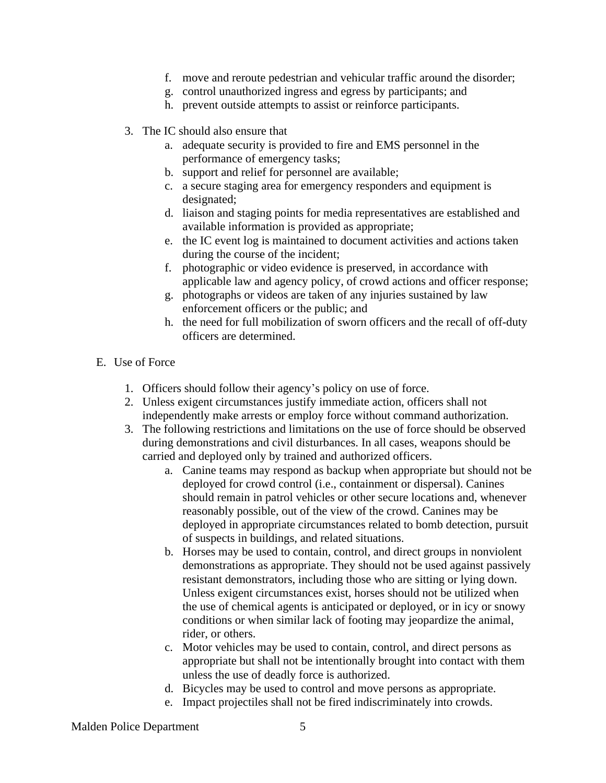- f. move and reroute pedestrian and vehicular traffic around the disorder;
- g. control unauthorized ingress and egress by participants; and
- h. prevent outside attempts to assist or reinforce participants.
- 3. The IC should also ensure that
	- a. adequate security is provided to fire and EMS personnel in the performance of emergency tasks;
	- b. support and relief for personnel are available;
	- c. a secure staging area for emergency responders and equipment is designated;
	- d. liaison and staging points for media representatives are established and available information is provided as appropriate;
	- e. the IC event log is maintained to document activities and actions taken during the course of the incident;
	- f. photographic or video evidence is preserved, in accordance with applicable law and agency policy, of crowd actions and officer response;
	- g. photographs or videos are taken of any injuries sustained by law enforcement officers or the public; and
	- h. the need for full mobilization of sworn officers and the recall of off-duty officers are determined.
- E. Use of Force
	- 1. Officers should follow their agency's policy on use of force.
	- 2. Unless exigent circumstances justify immediate action, officers shall not independently make arrests or employ force without command authorization.
	- 3. The following restrictions and limitations on the use of force should be observed during demonstrations and civil disturbances. In all cases, weapons should be carried and deployed only by trained and authorized officers.
		- a. Canine teams may respond as backup when appropriate but should not be deployed for crowd control (i.e., containment or dispersal). Canines should remain in patrol vehicles or other secure locations and, whenever reasonably possible, out of the view of the crowd. Canines may be deployed in appropriate circumstances related to bomb detection, pursuit of suspects in buildings, and related situations.
		- b. Horses may be used to contain, control, and direct groups in nonviolent demonstrations as appropriate. They should not be used against passively resistant demonstrators, including those who are sitting or lying down. Unless exigent circumstances exist, horses should not be utilized when the use of chemical agents is anticipated or deployed, or in icy or snowy conditions or when similar lack of footing may jeopardize the animal, rider, or others.
		- c. Motor vehicles may be used to contain, control, and direct persons as appropriate but shall not be intentionally brought into contact with them unless the use of deadly force is authorized.
		- d. Bicycles may be used to control and move persons as appropriate.
		- e. Impact projectiles shall not be fired indiscriminately into crowds.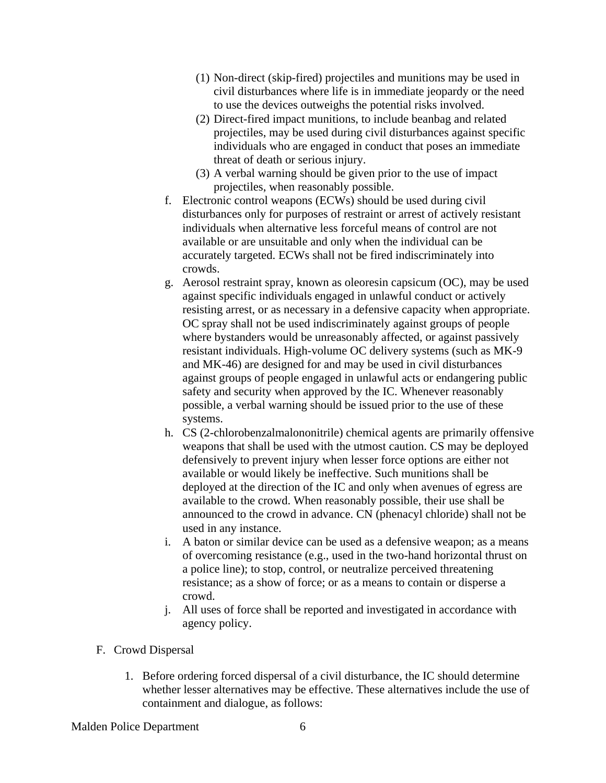- (1) Non-direct (skip-fired) projectiles and munitions may be used in civil disturbances where life is in immediate jeopardy or the need to use the devices outweighs the potential risks involved.
- (2) Direct-fired impact munitions, to include beanbag and related projectiles, may be used during civil disturbances against specific individuals who are engaged in conduct that poses an immediate threat of death or serious injury.
- (3) A verbal warning should be given prior to the use of impact projectiles, when reasonably possible.
- f. Electronic control weapons (ECWs) should be used during civil disturbances only for purposes of restraint or arrest of actively resistant individuals when alternative less forceful means of control are not available or are unsuitable and only when the individual can be accurately targeted. ECWs shall not be fired indiscriminately into crowds.
- g. Aerosol restraint spray, known as oleoresin capsicum (OC), may be used against specific individuals engaged in unlawful conduct or actively resisting arrest, or as necessary in a defensive capacity when appropriate. OC spray shall not be used indiscriminately against groups of people where bystanders would be unreasonably affected, or against passively resistant individuals. High-volume OC delivery systems (such as MK-9 and MK-46) are designed for and may be used in civil disturbances against groups of people engaged in unlawful acts or endangering public safety and security when approved by the IC. Whenever reasonably possible, a verbal warning should be issued prior to the use of these systems.
- h. CS (2-chlorobenzalmalononitrile) chemical agents are primarily offensive weapons that shall be used with the utmost caution. CS may be deployed defensively to prevent injury when lesser force options are either not available or would likely be ineffective. Such munitions shall be deployed at the direction of the IC and only when avenues of egress are available to the crowd. When reasonably possible, their use shall be announced to the crowd in advance. CN (phenacyl chloride) shall not be used in any instance.
- i. A baton or similar device can be used as a defensive weapon; as a means of overcoming resistance (e.g., used in the two-hand horizontal thrust on a police line); to stop, control, or neutralize perceived threatening resistance; as a show of force; or as a means to contain or disperse a crowd.
- j. All uses of force shall be reported and investigated in accordance with agency policy.
- F. Crowd Dispersal
	- 1. Before ordering forced dispersal of a civil disturbance, the IC should determine whether lesser alternatives may be effective. These alternatives include the use of containment and dialogue, as follows:

Malden Police Department 6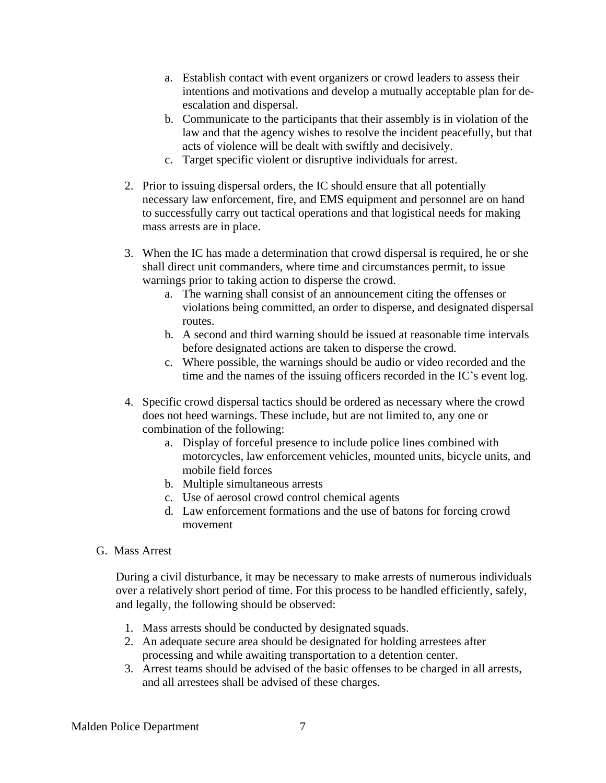- a. Establish contact with event organizers or crowd leaders to assess their intentions and motivations and develop a mutually acceptable plan for deescalation and dispersal.
- b. Communicate to the participants that their assembly is in violation of the law and that the agency wishes to resolve the incident peacefully, but that acts of violence will be dealt with swiftly and decisively.
- c. Target specific violent or disruptive individuals for arrest.
- 2. Prior to issuing dispersal orders, the IC should ensure that all potentially necessary law enforcement, fire, and EMS equipment and personnel are on hand to successfully carry out tactical operations and that logistical needs for making mass arrests are in place.
- 3. When the IC has made a determination that crowd dispersal is required, he or she shall direct unit commanders, where time and circumstances permit, to issue warnings prior to taking action to disperse the crowd.
	- a. The warning shall consist of an announcement citing the offenses or violations being committed, an order to disperse, and designated dispersal routes.
	- b. A second and third warning should be issued at reasonable time intervals before designated actions are taken to disperse the crowd.
	- c. Where possible, the warnings should be audio or video recorded and the time and the names of the issuing officers recorded in the IC's event log.
- 4. Specific crowd dispersal tactics should be ordered as necessary where the crowd does not heed warnings. These include, but are not limited to, any one or combination of the following:
	- a. Display of forceful presence to include police lines combined with motorcycles, law enforcement vehicles, mounted units, bicycle units, and mobile field forces
	- b. Multiple simultaneous arrests
	- c. Use of aerosol crowd control chemical agents
	- d. Law enforcement formations and the use of batons for forcing crowd movement
- G. Mass Arrest

During a civil disturbance, it may be necessary to make arrests of numerous individuals over a relatively short period of time. For this process to be handled efficiently, safely, and legally, the following should be observed:

- 1. Mass arrests should be conducted by designated squads.
- 2. An adequate secure area should be designated for holding arrestees after processing and while awaiting transportation to a detention center.
- 3. Arrest teams should be advised of the basic offenses to be charged in all arrests, and all arrestees shall be advised of these charges.